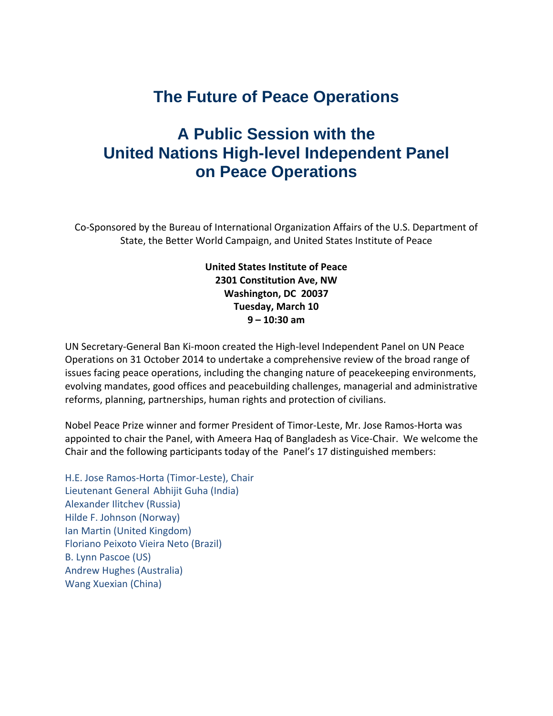## **The Future of Peace Operations**

## **A Public Session with the United Nations High-level Independent Panel on Peace Operations**

Co-Sponsored by the Bureau of International Organization Affairs of the U.S. Department of State, the Better World Campaign, and United States Institute of Peace

> **United States Institute of Peace 2301 Constitution Ave, NW Washington, DC 20037 Tuesday, March 10 9 – 10:30 am**

UN Secretary-General Ban Ki-moon created the High-level Independent Panel on UN Peace Operations on 31 October 2014 to undertake a comprehensive review of the broad range of issues facing peace operations, including the changing nature of peacekeeping environments, evolving mandates, good offices and peacebuilding challenges, managerial and administrative reforms, planning, partnerships, human rights and protection of civilians.

Nobel Peace Prize winner and former President of Timor-Leste, Mr. Jose Ramos-Horta was appointed to chair the Panel, with Ameera Haq of Bangladesh as Vice-Chair. We welcome the Chair and the following participants today of the Panel's 17 distinguished members:

H.E. Jose Ramos-Horta (Timor-Leste), Chair Lieutenant General Abhijit Guha (India) Alexander Ilitchev (Russia) Hilde F. Johnson (Norway) Ian Martin (United Kingdom) Floriano Peixoto Vieira Neto (Brazil) B. Lynn Pascoe (US) Andrew Hughes (Australia) Wang Xuexian (China)